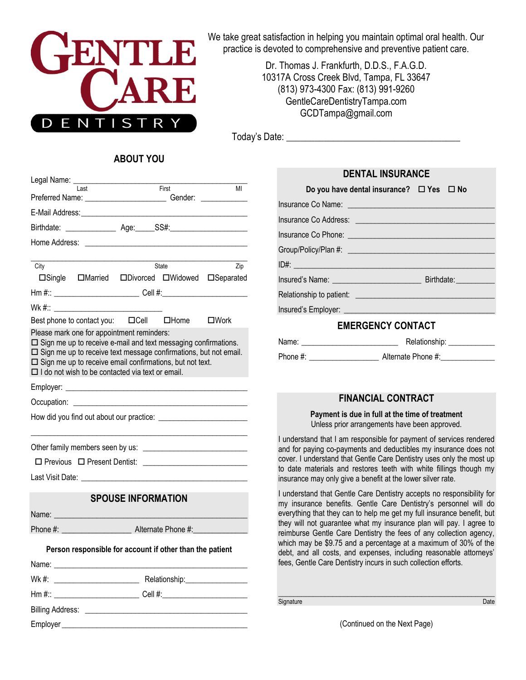

We take great satisfaction in helping you maintain optimal oral health. Our practice is devoted to comprehensive and preventive patient care.

> Dr. Thomas J. Frankfurth, D.D.S., F.A.G.D. 10317A Cross Creek Blvd, Tampa, FL 33647 (813) 973-4300 Fax: (813) 991-9260 GentleCareDentistryTampa.com GCDTampa@gmail.com

Today's Date: \_\_\_\_\_\_\_\_\_\_\_\_\_\_\_\_\_\_\_\_\_\_\_\_\_\_\_\_\_\_\_\_\_\_\_\_\_

## **ABOUT YOU**

| l ast                                                                                                                                                                                                                                                                                   |                                               | First | MI               |  |  |
|-----------------------------------------------------------------------------------------------------------------------------------------------------------------------------------------------------------------------------------------------------------------------------------------|-----------------------------------------------|-------|------------------|--|--|
| Preferred Name: __________________________________Gender: ______________________                                                                                                                                                                                                        |                                               |       |                  |  |  |
|                                                                                                                                                                                                                                                                                         |                                               |       |                  |  |  |
|                                                                                                                                                                                                                                                                                         |                                               |       |                  |  |  |
|                                                                                                                                                                                                                                                                                         |                                               |       |                  |  |  |
|                                                                                                                                                                                                                                                                                         |                                               |       |                  |  |  |
| City                                                                                                                                                                                                                                                                                    |                                               | State | $\overline{Zip}$ |  |  |
| □Single □Married □Divorced □Widowed □Separated                                                                                                                                                                                                                                          |                                               |       |                  |  |  |
|                                                                                                                                                                                                                                                                                         |                                               |       |                  |  |  |
|                                                                                                                                                                                                                                                                                         |                                               |       |                  |  |  |
| Best phone to contact you: □Cell □Home □Work<br>Please mark one for appointment reminders:                                                                                                                                                                                              |                                               |       |                  |  |  |
| $\square$ Sign me up to receive e-mail and text messaging confirmations.<br>$\square$ Sign me up to receive text message confirmations, but not email.<br>$\square$ Sign me up to receive email confirmations, but not text.<br>$\Box$ I do not wish to be contacted via text or email. |                                               |       |                  |  |  |
|                                                                                                                                                                                                                                                                                         |                                               |       |                  |  |  |
|                                                                                                                                                                                                                                                                                         |                                               |       |                  |  |  |
|                                                                                                                                                                                                                                                                                         |                                               |       |                  |  |  |
|                                                                                                                                                                                                                                                                                         |                                               |       |                  |  |  |
|                                                                                                                                                                                                                                                                                         |                                               |       |                  |  |  |
|                                                                                                                                                                                                                                                                                         |                                               |       |                  |  |  |
|                                                                                                                                                                                                                                                                                         | <b>SPOUSE INFORMATION</b>                     |       |                  |  |  |
| Name: 2008 - 2008 - 2008 - 2010 - 2010 - 2011 - 2012 - 2014 - 2016 - 2017 - 2018 - 2019 - 2010 - 2011 - 2011 -                                                                                                                                                                          |                                               |       |                  |  |  |
|                                                                                                                                                                                                                                                                                         |                                               |       |                  |  |  |
| Person responsible for account if other than the patient                                                                                                                                                                                                                                |                                               |       |                  |  |  |
|                                                                                                                                                                                                                                                                                         |                                               |       |                  |  |  |
| Wk #:                                                                                                                                                                                                                                                                                   | Relationship:___________________              |       |                  |  |  |
|                                                                                                                                                                                                                                                                                         | $\mathsf{Hm} \; \#$ : $\mathsf{Cell} \; \#$ : |       |                  |  |  |
|                                                                                                                                                                                                                                                                                         |                                               |       |                  |  |  |
|                                                                                                                                                                                                                                                                                         |                                               |       |                  |  |  |

## **DENTAL INSURANCE**

|                          | Do you have dental insurance? $\Box$ Yes $\Box$ No                                                                                                                                                                                   |  |  |  |  |
|--------------------------|--------------------------------------------------------------------------------------------------------------------------------------------------------------------------------------------------------------------------------------|--|--|--|--|
|                          | Insurance Co Name: <u>contract and contract and contract and contract and contract and contract and contract and contract and contract and contract and contract and contract and contract and contract and contract and contrac</u> |  |  |  |  |
|                          | Insurance Co Address: <b>contract and the Contract of Address</b> and The Contract of The Contract of The Contract of                                                                                                                |  |  |  |  |
|                          |                                                                                                                                                                                                                                      |  |  |  |  |
|                          |                                                                                                                                                                                                                                      |  |  |  |  |
|                          |                                                                                                                                                                                                                                      |  |  |  |  |
|                          |                                                                                                                                                                                                                                      |  |  |  |  |
|                          |                                                                                                                                                                                                                                      |  |  |  |  |
|                          |                                                                                                                                                                                                                                      |  |  |  |  |
| <b>EMERGENCY CONTACT</b> |                                                                                                                                                                                                                                      |  |  |  |  |
|                          | Relationship: _____________                                                                                                                                                                                                          |  |  |  |  |
|                          |                                                                                                                                                                                                                                      |  |  |  |  |

## **FINANCIAL CONTRACT**

## **Payment is due in full at the time of treatment**  Unless prior arrangements have been approved.

I understand that I am responsible for payment of services rendered and for paying co-payments and deductibles my insurance does not cover. I understand that Gentle Care Dentistry uses only the most up to date materials and restores teeth with white fillings though my insurance may only give a benefit at the lower silver rate.

I understand that Gentle Care Dentistry accepts no responsibility for my insurance benefits. Gentle Care Dentistry's personnel will do everything that they can to help me get my full insurance benefit, but they will not guarantee what my insurance plan will pay. I agree to reimburse Gentle Care Dentistry the fees of any collection agency, which may be \$9.75 and a percentage at a maximum of 30% of the debt, and all costs, and expenses, including reasonable attorneys' fees, Gentle Care Dentistry incurs in such collection efforts.

\_\_\_\_\_\_\_\_\_\_\_\_\_\_\_\_\_\_\_\_\_\_\_\_\_\_\_\_\_\_\_\_\_\_\_\_\_\_\_\_\_\_\_\_\_\_\_\_\_\_\_\_\_\_\_\_ Signature Date Communication of the Communication of the Communication of the Date

(Continued on the Next Page)